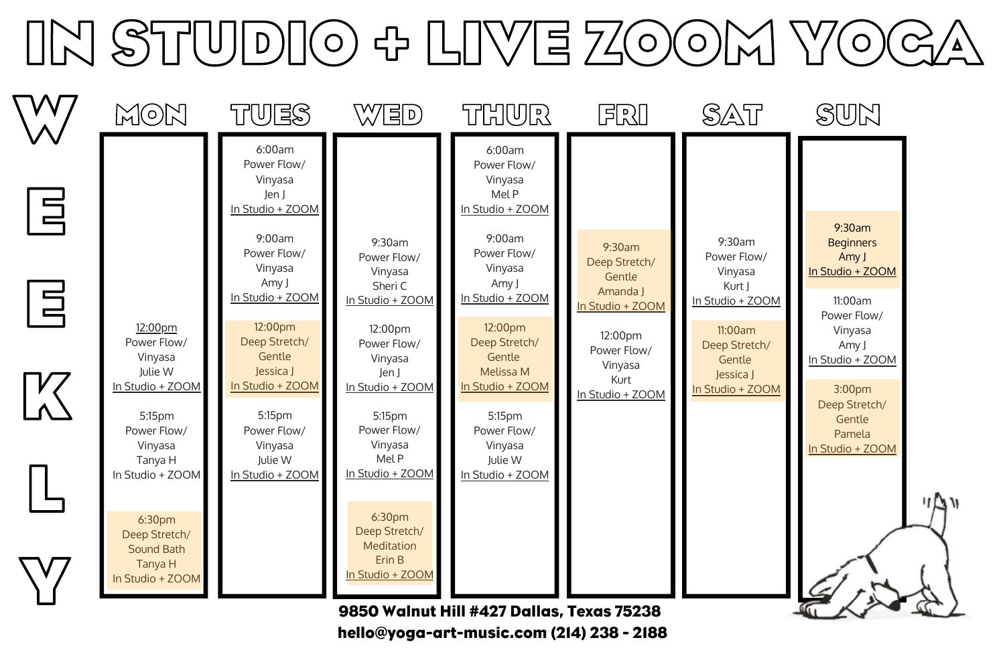## **IN STUDIO + LIVE ZOOM YOGA**



hello@yoga-art-music.com (214) 238 - 2188